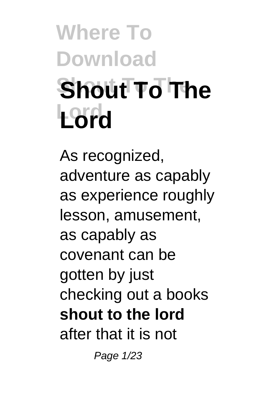# **Where To Download Shout To The Shout To The Lord Lord**

As recognized, adventure as capably as experience roughly lesson, amusement, as capably as covenant can be gotten by just checking out a books **shout to the lord** after that it is not

Page 1/23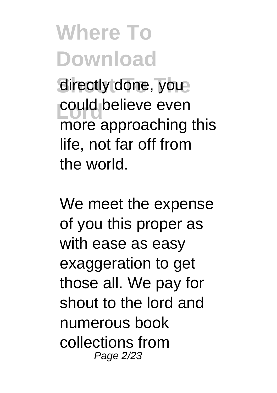directly done, you could believe even more approaching this life, not far off from the world.

We meet the expense of you this proper as with ease as easy exaggeration to get those all. We pay for shout to the lord and numerous book collections from Page 2/23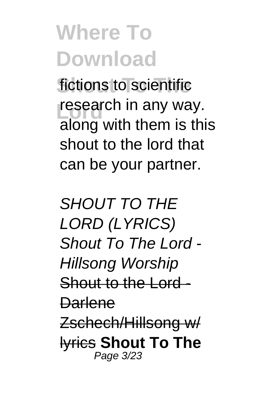fictions to scientific research in any way. along with them is this shout to the lord that can be your partner.

SHOUT TO THE LORD (LYRICS) Shout To The Lord - Hillsong Worship Shout to the Lord - Darlene Zschech/Hillsong w/ lyrics **Shout To The** Page 3/23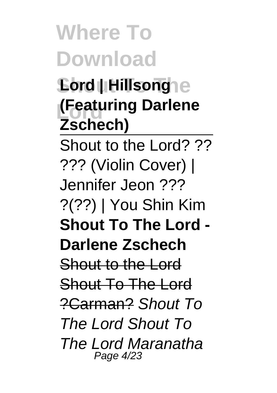**Where To Download Lord | Hillsong** e **Lord (Featuring Darlene Zschech)** Shout to the Lord? ?? ??? (Violin Cover) | Jennifer Jeon ??? ?(??) | You Shin Kim **Shout To The Lord - Darlene Zschech** Shout to the Lord Shout To The Lord ?Carman? Shout To The Lord Shout To The Lord Maranatha Page 4/23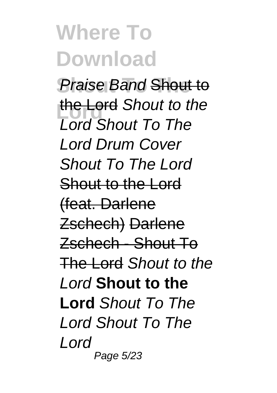**Praise Band Shout to Lord** Lord Shout To The the Lord Shout to the Lord Drum Cover Shout To The Lord Shout to the Lord (feat. Darlene Zschech) Darlene Zschech - Shout To The Lord Shout to the Lord **Shout to the Lord** Shout To The Lord Shout To The Lord Page 5/23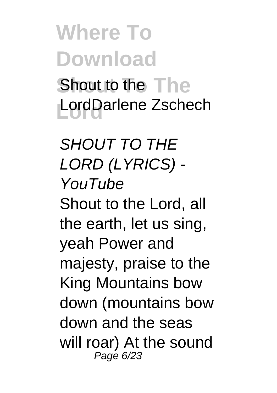# **Where To Download** Shout to the The **Lord** LordDarlene Zschech

SHOUT TO THE LORD (LYRICS) - YouTube Shout to the Lord, all the earth, let us sing, yeah Power and majesty, praise to the King Mountains bow down (mountains bow down and the seas will roar) At the sound Page 6/23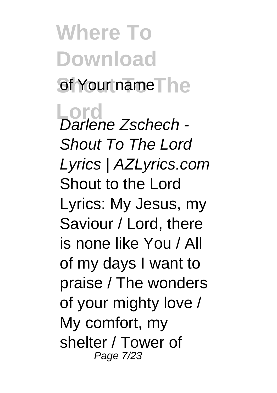**Where To Download** of Your name The

**Lord** Darlene Zschech - Shout To The Lord Lyrics | AZLyrics.com Shout to the Lord Lyrics: My Jesus, my Saviour / Lord, there is none like You / All of my days I want to praise / The wonders of your mighty love / My comfort, my shelter / Tower of Page 7/23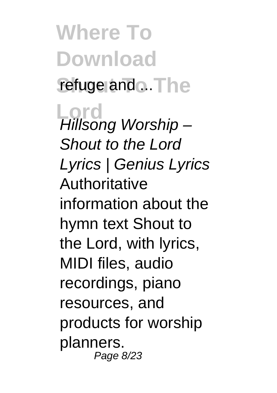**Where To Download** refuge and .... The **Lord** Hillsong Worship – Shout to the Lord Lyrics | Genius Lyrics **Authoritative** information about the hymn text Shout to the Lord, with lyrics, MIDI files, audio recordings, piano resources, and products for worship planners. Page 8/23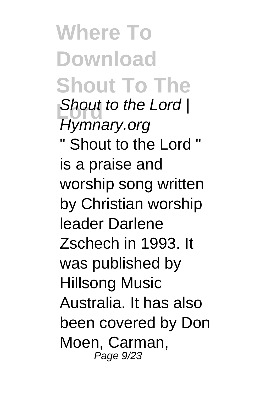**Where To Download Shout To The Lord** Shout to the Lord | Hymnary.org " Shout to the Lord " is a praise and worship song written by Christian worship leader Darlene Zschech in 1993. It was published by Hillsong Music Australia. It has also been covered by Don Moen, Carman, Page 9/23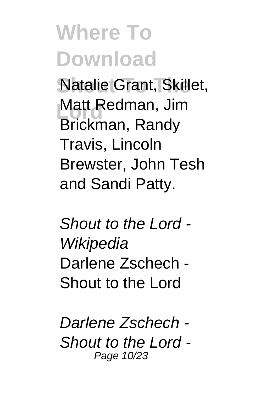**Natalie Grant, Skillet,** Matt Redman, Jim Brickman, Randy Travis, Lincoln Brewster, John Tesh and Sandi Patty.

Shout to the Lord - Wikipedia Darlene Zschech - Shout to the Lord

Darlene Zschech - Shout to the Lord - Page 10/23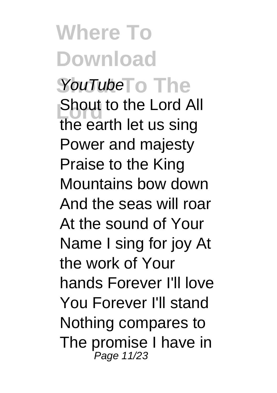**Where To Download** YouTube<sub>To</sub> The **Shout to the Lord All** the earth let us sing Power and majesty Praise to the King Mountains bow down And the seas will roar At the sound of Your Name I sing for joy At the work of Your hands Forever I'll love You Forever I'll stand Nothing compares to The promise I have in Page 11/23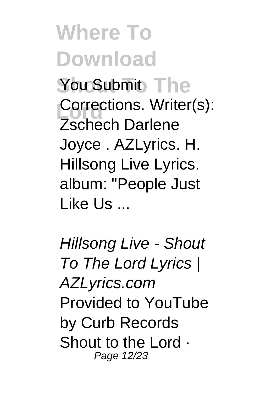**Where To Download** You Submit The **Corrections. Writer(s):** Zschech Darlene Joyce . AZLyrics. H. Hillsong Live Lyrics. album: "People Just Like Us ...

Hillsong Live - Shout To The Lord Lyrics | AZLyrics.com Provided to YouTube by Curb Records Shout to the Lord · Page 12/23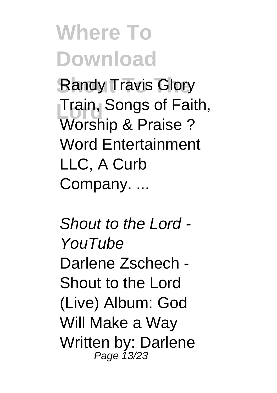**Randy Travis Glory Train, Songs of Faith,** Worship & Praise ? Word Entertainment LLC, A Curb Company. ...

Shout to the Lord - YouTube Darlene Zschech - Shout to the Lord (Live) Album: God Will Make a Way Written by: Darlene Page 13/23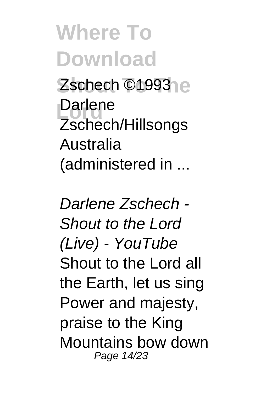**Where To Download** Zschech ©19931e **Lord** Darlene Zschech/Hillsongs Australia (administered in ...

Darlene Zschech - Shout to the Lord (Live) - YouTube Shout to the Lord all the Earth, let us sing Power and majesty, praise to the King Mountains bow down Page 14/23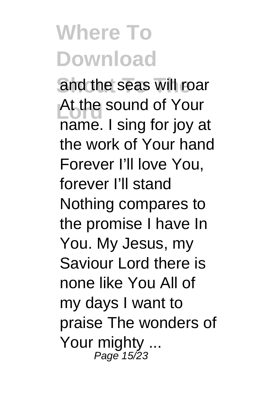and the seas will roar At the sound of Your<br>
name. I sing for joy at At the sound of Your the work of Your hand Forever I'll love You, forever I'll stand Nothing compares to the promise I have In You. My Jesus, my Saviour Lord there is none like You All of my days I want to praise The wonders of Your mighty ... Page 15/23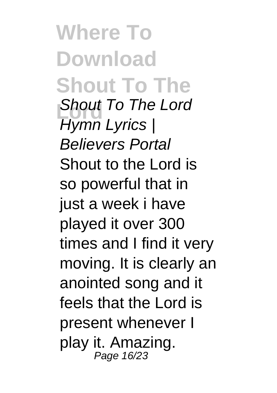**Where To Download Shout To The Lord** Shout To The Lord Hymn Lyrics I Believers Portal Shout to the Lord is so powerful that in just a week i have played it over 300 times and I find it very moving. It is clearly an anointed song and it feels that the Lord is present whenever I play it. Amazing. Page 16/23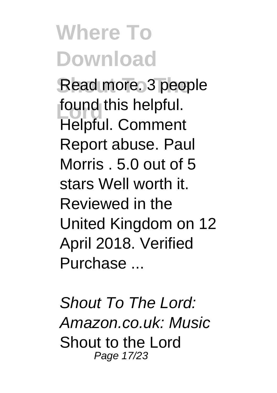Read more. 3 people found this helpful. Helpful. Comment Report abuse. Paul Morris 5.0 out of 5 stars Well worth it. Reviewed in the United Kingdom on 12 April 2018. Verified Purchase ...

Shout To The Lord: Amazon.co.uk: Music Shout to the Lord Page 17/23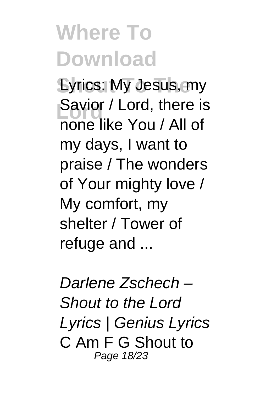**Eyrics: My Jesus, my Savior / Lord, there is** none like You / All of my days, I want to praise / The wonders of Your mighty love / My comfort, my shelter / Tower of refuge and ...

Darlene Zschech – Shout to the Lord Lyrics | Genius Lyrics C Am F G Shout to Page 18/23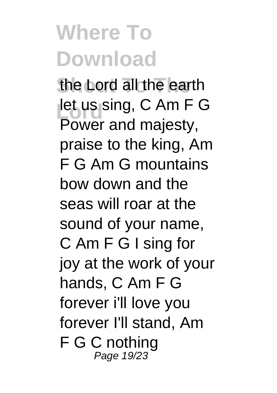the Lord all the earth let us sing, C Am F G Power and majesty, praise to the king, Am F G Am G mountains bow down and the seas will roar at the sound of your name, C Am F G I sing for joy at the work of your hands, C Am F G forever i'll love you forever I'll stand, Am F G C nothing Page 19/23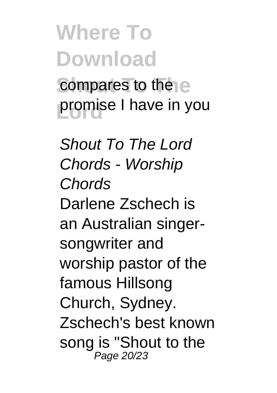# **Where To Download** compares to the e **Lord** promise I have in you

Shout To The Lord Chords - Worship **Chords** Darlene Zschech is an Australian singersongwriter and worship pastor of the famous Hillsong Church, Sydney. Zschech's best known song is "Shout to the Page 20/23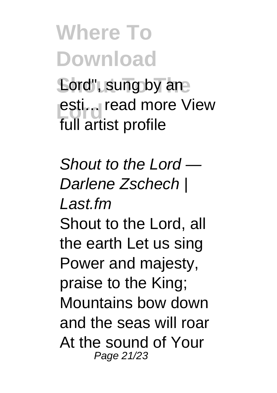# **Where To Download** Lord", sung by an

esti... read more View full artist profile

Shout to the Lord — Darlene Zschech | Last.fm Shout to the Lord, all the earth Let us sing Power and majesty, praise to the King; Mountains bow down and the seas will roar At the sound of Your Page 21/23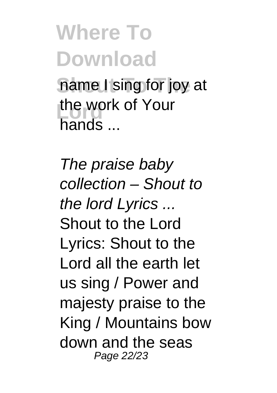hame I sing for joy at **the work**<br>hands ... the work of Your

The praise baby collection – Shout to the lord Lyrics ... Shout to the Lord Lyrics: Shout to the Lord all the earth let us sing / Power and majesty praise to the King / Mountains bow down and the seas Page 22/23